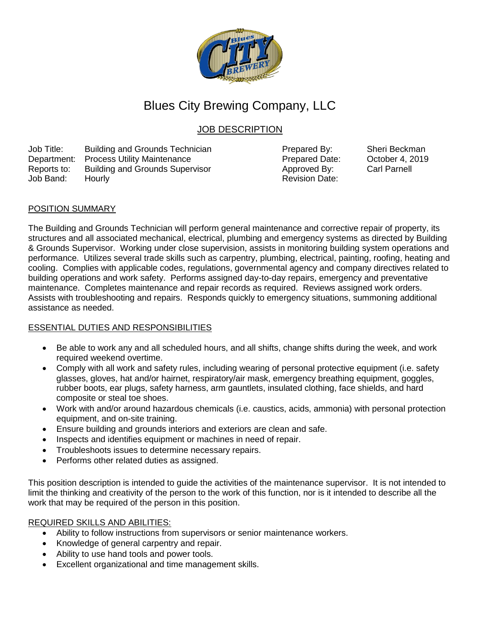

# Blues City Brewing Company, LLC

# JOB DESCRIPTION

Job Title: Building and Grounds Technician Prepared By: Sheri Beckman Department: Process Utility Maintenance **Process and Separtment: Process Utility Maintenance** Prepared Date: October 4, 2019<br>Reports to: Building and Grounds Supervisor **Process Automatic Approved By:** Carl Parnell Reports to: Building and Grounds Supervisor **Approved By:** Job Band: Hourly **Review Accounts** Hourly Revision Date:

## POSITION SUMMARY

The Building and Grounds Technician will perform general maintenance and corrective repair of property, its structures and all associated mechanical, electrical, plumbing and emergency systems as directed by Building & Grounds Supervisor. Working under close supervision, assists in monitoring building system operations and performance. Utilizes several trade skills such as carpentry, plumbing, electrical, painting, roofing, heating and cooling. Complies with applicable codes, regulations, governmental agency and company directives related to building operations and work safety. Performs assigned day-to-day repairs, emergency and preventative maintenance. Completes maintenance and repair records as required. Reviews assigned work orders. Assists with troubleshooting and repairs. Responds quickly to emergency situations, summoning additional assistance as needed.

# ESSENTIAL DUTIES AND RESPONSIBILITIES

- Be able to work any and all scheduled hours, and all shifts, change shifts during the week, and work required weekend overtime.
- Comply with all work and safety rules, including wearing of personal protective equipment (i.e. safety glasses, gloves, hat and/or hairnet, respiratory/air mask, emergency breathing equipment, goggles, rubber boots, ear plugs, safety harness, arm gauntlets, insulated clothing, face shields, and hard composite or steal toe shoes.
- Work with and/or around hazardous chemicals (i.e. caustics, acids, ammonia) with personal protection equipment, and on-site training.
- Ensure building and grounds interiors and exteriors are clean and safe.
- Inspects and identifies equipment or machines in need of repair.
- Troubleshoots issues to determine necessary repairs.
- Performs other related duties as assigned.

This position description is intended to guide the activities of the maintenance supervisor. It is not intended to limit the thinking and creativity of the person to the work of this function, nor is it intended to describe all the work that may be required of the person in this position.

### REQUIRED SKILLS AND ABILITIES:

- Ability to follow instructions from supervisors or senior maintenance workers.
- Knowledge of general carpentry and repair.
- Ability to use hand tools and power tools.
- Excellent organizational and time management skills.